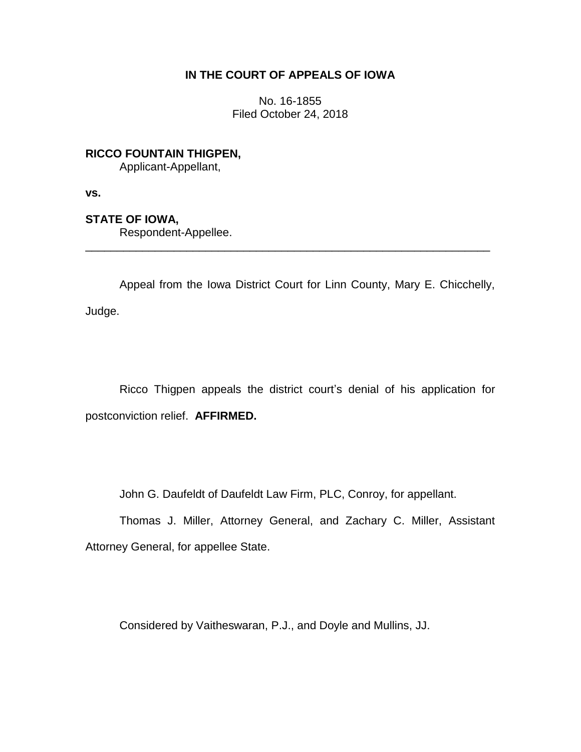## **IN THE COURT OF APPEALS OF IOWA**

No. 16-1855 Filed October 24, 2018

**RICCO FOUNTAIN THIGPEN,** Applicant-Appellant,

**vs.**

**STATE OF IOWA,**

Respondent-Appellee.

Appeal from the Iowa District Court for Linn County, Mary E. Chicchelly, Judge.

\_\_\_\_\_\_\_\_\_\_\_\_\_\_\_\_\_\_\_\_\_\_\_\_\_\_\_\_\_\_\_\_\_\_\_\_\_\_\_\_\_\_\_\_\_\_\_\_\_\_\_\_\_\_\_\_\_\_\_\_\_\_\_\_

Ricco Thigpen appeals the district court's denial of his application for postconviction relief. **AFFIRMED.**

John G. Daufeldt of Daufeldt Law Firm, PLC, Conroy, for appellant.

Thomas J. Miller, Attorney General, and Zachary C. Miller, Assistant Attorney General, for appellee State.

Considered by Vaitheswaran, P.J., and Doyle and Mullins, JJ.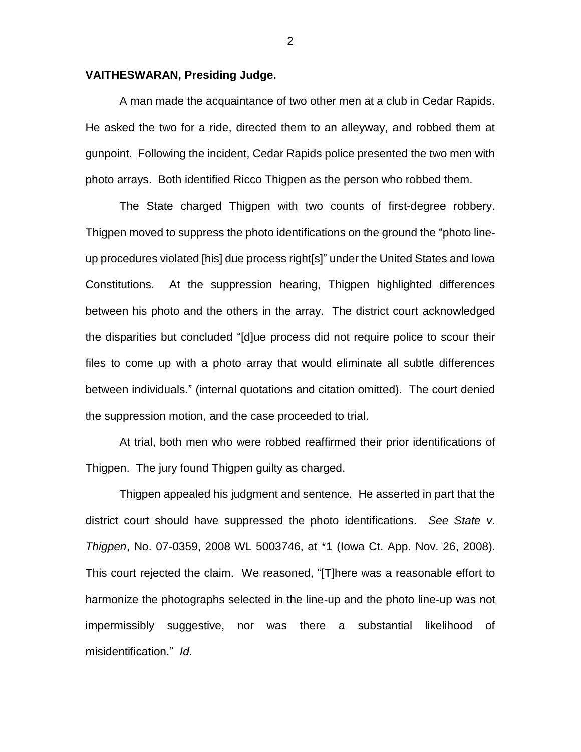## **VAITHESWARAN, Presiding Judge.**

A man made the acquaintance of two other men at a club in Cedar Rapids. He asked the two for a ride, directed them to an alleyway, and robbed them at gunpoint. Following the incident, Cedar Rapids police presented the two men with photo arrays. Both identified Ricco Thigpen as the person who robbed them.

The State charged Thigpen with two counts of first-degree robbery. Thigpen moved to suppress the photo identifications on the ground the "photo lineup procedures violated [his] due process right[s]" under the United States and Iowa Constitutions. At the suppression hearing, Thigpen highlighted differences between his photo and the others in the array. The district court acknowledged the disparities but concluded "[d]ue process did not require police to scour their files to come up with a photo array that would eliminate all subtle differences between individuals." (internal quotations and citation omitted). The court denied the suppression motion, and the case proceeded to trial.

At trial, both men who were robbed reaffirmed their prior identifications of Thigpen. The jury found Thigpen guilty as charged.

Thigpen appealed his judgment and sentence. He asserted in part that the district court should have suppressed the photo identifications. *See State v*. *Thigpen*, No. 07-0359, 2008 WL 5003746, at \*1 (Iowa Ct. App. Nov. 26, 2008). This court rejected the claim. We reasoned, "[T]here was a reasonable effort to harmonize the photographs selected in the line-up and the photo line-up was not impermissibly suggestive, nor was there a substantial likelihood of misidentification." *Id*.

2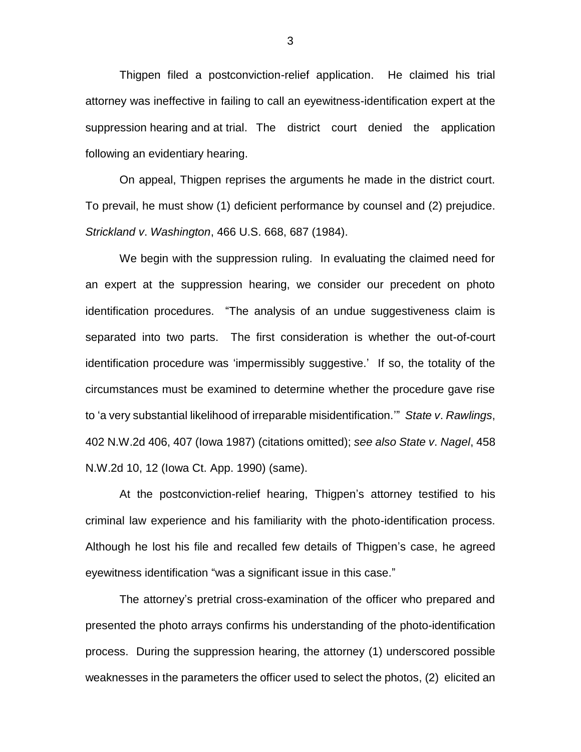Thigpen filed a postconviction-relief application. He claimed his trial attorney was ineffective in failing to call an eyewitness-identification expert at the suppression hearing and at trial. The district court denied the application following an evidentiary hearing.

On appeal, Thigpen reprises the arguments he made in the district court. To prevail, he must show (1) deficient performance by counsel and (2) prejudice. *Strickland v*. *Washington*, 466 U.S. 668, 687 (1984).

We begin with the suppression ruling. In evaluating the claimed need for an expert at the suppression hearing, we consider our precedent on photo identification procedures. "The analysis of an undue suggestiveness claim is separated into two parts. The first consideration is whether the out-of-court identification procedure was 'impermissibly suggestive.' If so, the totality of the circumstances must be examined to determine whether the procedure gave rise to 'a very substantial likelihood of irreparable misidentification.'" *State v*. *Rawlings*, 402 N.W.2d 406, 407 (Iowa 1987) (citations omitted); *see also State v*. *Nagel*, 458 N.W.2d 10, 12 (Iowa Ct. App. 1990) (same).

At the postconviction-relief hearing, Thigpen's attorney testified to his criminal law experience and his familiarity with the photo-identification process. Although he lost his file and recalled few details of Thigpen's case, he agreed eyewitness identification "was a significant issue in this case."

The attorney's pretrial cross-examination of the officer who prepared and presented the photo arrays confirms his understanding of the photo-identification process. During the suppression hearing, the attorney (1) underscored possible weaknesses in the parameters the officer used to select the photos, (2) elicited an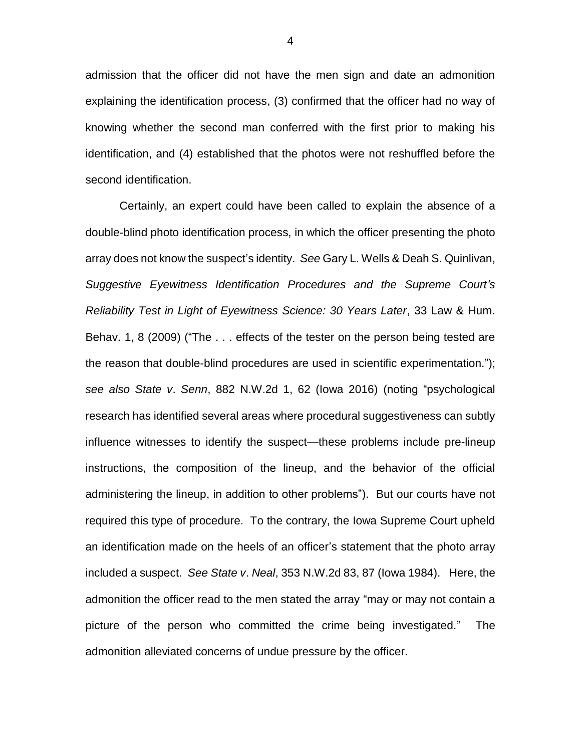admission that the officer did not have the men sign and date an admonition explaining the identification process, (3) confirmed that the officer had no way of knowing whether the second man conferred with the first prior to making his identification, and (4) established that the photos were not reshuffled before the second identification.

Certainly, an expert could have been called to explain the absence of a double-blind photo identification process, in which the officer presenting the photo array does not know the suspect's identity. *See* Gary L. Wells & Deah S. Quinlivan, *Suggestive Eyewitness Identification Procedures and the Supreme Court's Reliability Test in Light of Eyewitness Science: 30 Years Later*, 33 Law & Hum. Behav. 1, 8 (2009) ("The . . . effects of the tester on the person being tested are the reason that double-blind procedures are used in scientific experimentation."); *see also State v*. *Senn*, 882 N.W.2d 1, 62 (Iowa 2016) (noting "psychological research has identified several areas where procedural suggestiveness can subtly influence witnesses to identify the suspect—these problems include pre-lineup instructions, the composition of the lineup, and the behavior of the official administering the lineup, in addition to other problems"). But our courts have not required this type of procedure. To the contrary, the Iowa Supreme Court upheld an identification made on the heels of an officer's statement that the photo array included a suspect. *See State v*. *Neal*, 353 N.W.2d 83, 87 (Iowa 1984). Here, the admonition the officer read to the men stated the array "may or may not contain a picture of the person who committed the crime being investigated." The admonition alleviated concerns of undue pressure by the officer.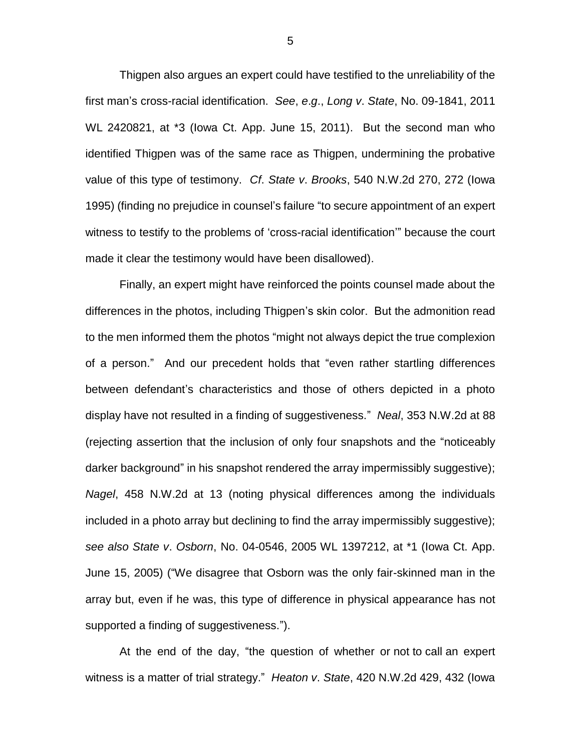Thigpen also argues an expert could have testified to the unreliability of the first man's cross-racial identification. *See*, *e*.*g*., *Long v*. *State*, No. 09-1841, 2011 WL 2420821, at \*3 (Iowa Ct. App. June 15, 2011). But the second man who identified Thigpen was of the same race as Thigpen, undermining the probative value of this type of testimony. *Cf*. *State v*. *Brooks*, 540 N.W.2d 270, 272 (Iowa 1995) (finding no prejudice in counsel's failure "to secure appointment of an expert witness to testify to the problems of 'cross-racial identification'" because the court made it clear the testimony would have been disallowed).

Finally, an expert might have reinforced the points counsel made about the differences in the photos, including Thigpen's skin color. But the admonition read to the men informed them the photos "might not always depict the true complexion of a person." And our precedent holds that "even rather startling differences between defendant's characteristics and those of others depicted in a photo display have not resulted in a finding of suggestiveness." *Neal*, 353 N.W.2d at 88 (rejecting assertion that the inclusion of only four snapshots and the "noticeably darker background" in his snapshot rendered the array impermissibly suggestive); *Nagel*, 458 N.W.2d at 13 (noting physical differences among the individuals included in a photo array but declining to find the array impermissibly suggestive); *see also State v*. *Osborn*, No. 04-0546, 2005 WL 1397212, at \*1 (Iowa Ct. App. June 15, 2005) ("We disagree that Osborn was the only fair-skinned man in the array but, even if he was, this type of difference in physical appearance has not supported a finding of suggestiveness.").

At the end of the day, "the question of whether or not to call an expert witness is a matter of trial strategy." *Heaton v*. *State*, 420 N.W.2d 429, 432 (Iowa

5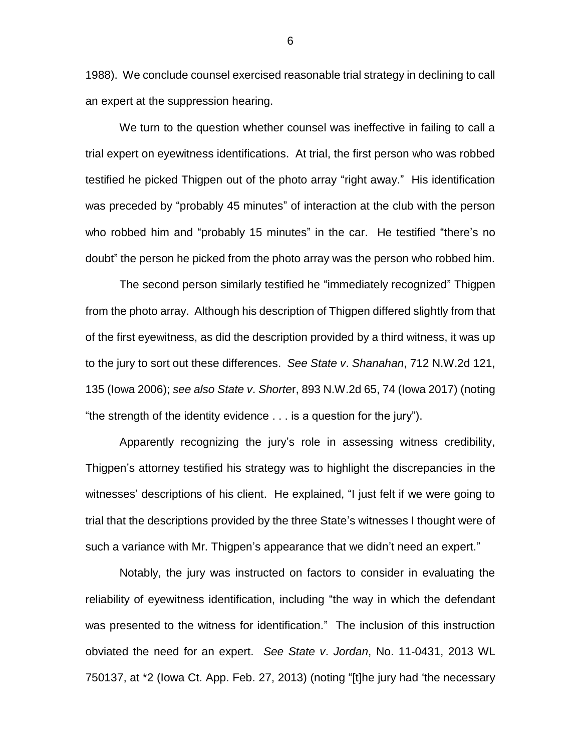1988). We conclude counsel exercised reasonable trial strategy in declining to call an expert at the suppression hearing.

We turn to the question whether counsel was ineffective in failing to call a trial expert on eyewitness identifications. At trial, the first person who was robbed testified he picked Thigpen out of the photo array "right away." His identification was preceded by "probably 45 minutes" of interaction at the club with the person who robbed him and "probably 15 minutes" in the car. He testified "there's no doubt" the person he picked from the photo array was the person who robbed him.

The second person similarly testified he "immediately recognized" Thigpen from the photo array. Although his description of Thigpen differed slightly from that of the first eyewitness, as did the description provided by a third witness, it was up to the jury to sort out these differences. *See State v*. *Shanahan*, 712 N.W.2d 121, 135 (Iowa 2006); *see also State v*. *Shorte*r, 893 N.W.2d 65, 74 (Iowa 2017) (noting "the strength of the identity evidence . . . is a question for the jury").

Apparently recognizing the jury's role in assessing witness credibility, Thigpen's attorney testified his strategy was to highlight the discrepancies in the witnesses' descriptions of his client. He explained, "I just felt if we were going to trial that the descriptions provided by the three State's witnesses I thought were of such a variance with Mr. Thigpen's appearance that we didn't need an expert."

Notably, the jury was instructed on factors to consider in evaluating the reliability of eyewitness identification, including "the way in which the defendant was presented to the witness for identification." The inclusion of this instruction obviated the need for an expert. *See State v*. *Jordan*, No. 11-0431, 2013 WL 750137, at \*2 (Iowa Ct. App. Feb. 27, 2013) (noting "[t]he jury had 'the necessary

6